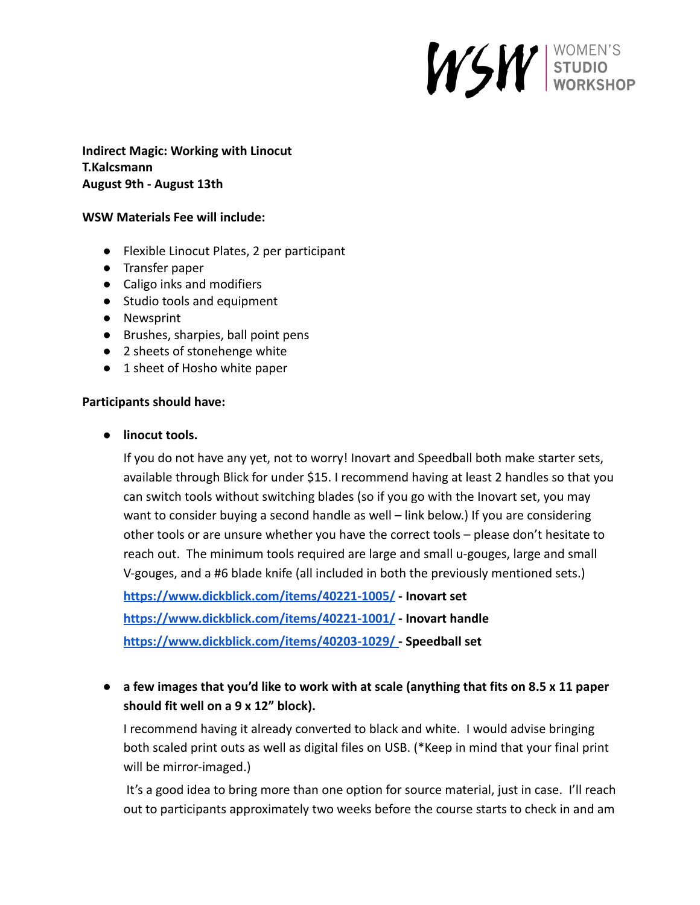## WSW STUDIO

**Indirect Magic: Working with Linocut T.Kalcsmann August 9th - August 13th**

## **WSW Materials Fee will include:**

- Flexible Linocut Plates, 2 per participant
- Transfer paper
- **●** Caligo inks and modifiers
- Studio tools and equipment
- Newsprint
- Brushes, sharpies, ball point pens
- 2 sheets of stonehenge white
- 1 sheet of Hosho white paper

## **Participants should have:**

**● linocut tools.**

If you do not have any yet, not to worry! Inovart and Speedball both make starter sets, available through Blick for under \$15. I recommend having at least 2 handles so that you can switch tools without switching blades (so if you go with the Inovart set, you may want to consider buying a second handle as well – link below.) If you are considering other tools or are unsure whether you have the correct tools – please don't hesitate to reach out. The minimum tools required are large and small u-gouges, large and small V-gouges, and a #6 blade knife (all included in both the previously mentioned sets.)

**<https://www.dickblick.com/items/40221-1005/> - Inovart set <https://www.dickblick.com/items/40221-1001/> - Inovart handle <https://www.dickblick.com/items/40203-1029/> - Speedball set**

**● a few images that you'd like to work with at scale (anything that fits on 8.5 x 11 paper should fit well on a 9 x 12" block).**

I recommend having it already converted to black and white. I would advise bringing both scaled print outs as well as digital files on USB. (\*Keep in mind that your final print will be mirror-imaged.)

It's a good idea to bring more than one option for source material, just in case. I'll reach out to participants approximately two weeks before the course starts to check in and am